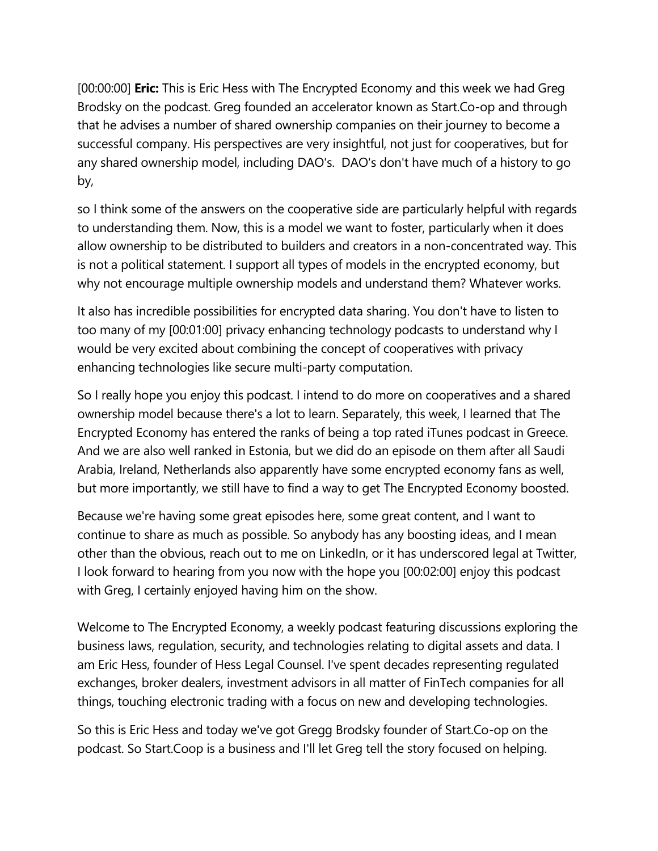[00:00:00] **Eric:** This is Eric Hess with The Encrypted Economy and this week we had Greg Brodsky on the podcast. Greg founded an accelerator known as Start.Co-op and through that he advises a number of shared ownership companies on their journey to become a successful company. His perspectives are very insightful, not just for cooperatives, but for any shared ownership model, including DAO's. DAO's don't have much of a history to go by,

so I think some of the answers on the cooperative side are particularly helpful with regards to understanding them. Now, this is a model we want to foster, particularly when it does allow ownership to be distributed to builders and creators in a non-concentrated way. This is not a political statement. I support all types of models in the encrypted economy, but why not encourage multiple ownership models and understand them? Whatever works.

It also has incredible possibilities for encrypted data sharing. You don't have to listen to too many of my [00:01:00] privacy enhancing technology podcasts to understand why I would be very excited about combining the concept of cooperatives with privacy enhancing technologies like secure multi-party computation.

So I really hope you enjoy this podcast. I intend to do more on cooperatives and a shared ownership model because there's a lot to learn. Separately, this week, I learned that The Encrypted Economy has entered the ranks of being a top rated iTunes podcast in Greece. And we are also well ranked in Estonia, but we did do an episode on them after all Saudi Arabia, Ireland, Netherlands also apparently have some encrypted economy fans as well, but more importantly, we still have to find a way to get The Encrypted Economy boosted.

Because we're having some great episodes here, some great content, and I want to continue to share as much as possible. So anybody has any boosting ideas, and I mean other than the obvious, reach out to me on LinkedIn, or it has underscored legal at Twitter, I look forward to hearing from you now with the hope you [00:02:00] enjoy this podcast with Greg, I certainly enjoyed having him on the show.

Welcome to The Encrypted Economy, a weekly podcast featuring discussions exploring the business laws, regulation, security, and technologies relating to digital assets and data. I am Eric Hess, founder of Hess Legal Counsel. I've spent decades representing regulated exchanges, broker dealers, investment advisors in all matter of FinTech companies for all things, touching electronic trading with a focus on new and developing technologies.

So this is Eric Hess and today we've got Gregg Brodsky founder of Start.Co-op on the podcast. So Start.Coop is a business and I'll let Greg tell the story focused on helping.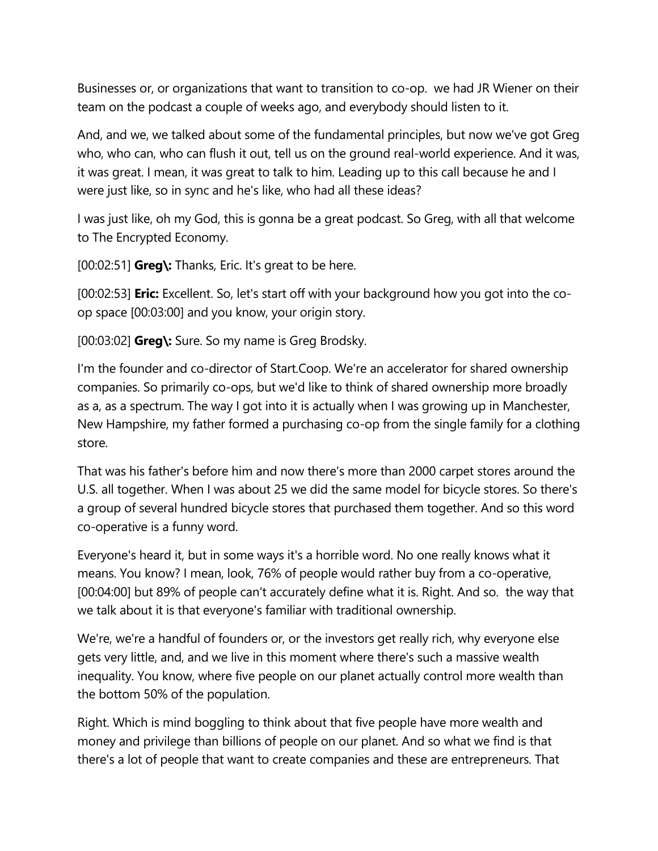Businesses or, or organizations that want to transition to co-op. we had JR Wiener on their team on the podcast a couple of weeks ago, and everybody should listen to it.

And, and we, we talked about some of the fundamental principles, but now we've got Greg who, who can, who can flush it out, tell us on the ground real-world experience. And it was, it was great. I mean, it was great to talk to him. Leading up to this call because he and I were just like, so in sync and he's like, who had all these ideas?

I was just like, oh my God, this is gonna be a great podcast. So Greg, with all that welcome to The Encrypted Economy.

[00:02:51] **Greg\:** Thanks, Eric. It's great to be here.

[00:02:53] **Eric:** Excellent. So, let's start off with your background how you got into the coop space [00:03:00] and you know, your origin story.

[00:03:02] **Greg\:** Sure. So my name is Greg Brodsky.

I'm the founder and co-director of Start.Coop. We're an accelerator for shared ownership companies. So primarily co-ops, but we'd like to think of shared ownership more broadly as a, as a spectrum. The way I got into it is actually when I was growing up in Manchester, New Hampshire, my father formed a purchasing co-op from the single family for a clothing store.

That was his father's before him and now there's more than 2000 carpet stores around the U.S. all together. When I was about 25 we did the same model for bicycle stores. So there's a group of several hundred bicycle stores that purchased them together. And so this word co-operative is a funny word.

Everyone's heard it, but in some ways it's a horrible word. No one really knows what it means. You know? I mean, look, 76% of people would rather buy from a co-operative, [00:04:00] but 89% of people can't accurately define what it is. Right. And so. the way that we talk about it is that everyone's familiar with traditional ownership.

We're, we're a handful of founders or, or the investors get really rich, why everyone else gets very little, and, and we live in this moment where there's such a massive wealth inequality. You know, where five people on our planet actually control more wealth than the bottom 50% of the population.

Right. Which is mind boggling to think about that five people have more wealth and money and privilege than billions of people on our planet. And so what we find is that there's a lot of people that want to create companies and these are entrepreneurs. That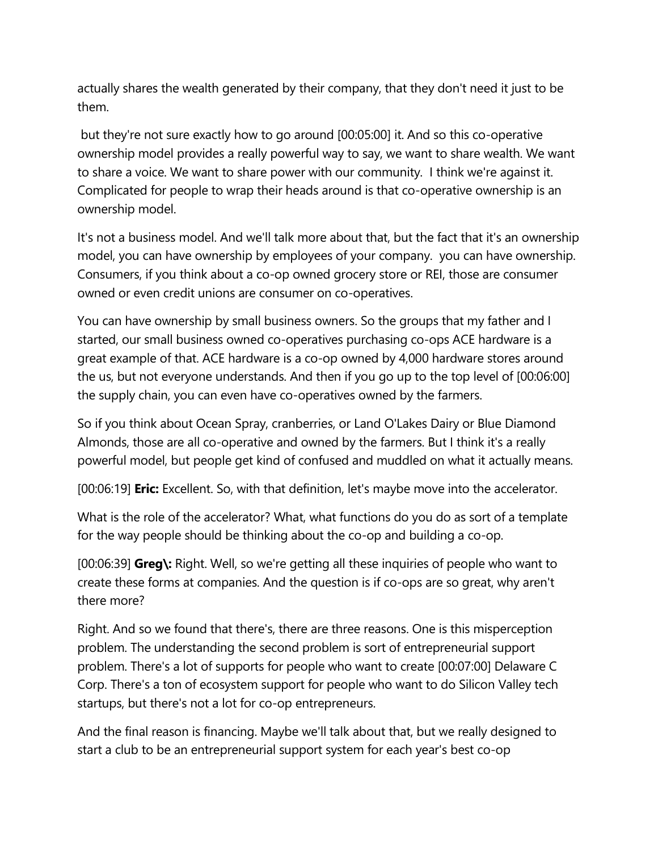actually shares the wealth generated by their company, that they don't need it just to be them.

but they're not sure exactly how to go around [00:05:00] it. And so this co-operative ownership model provides a really powerful way to say, we want to share wealth. We want to share a voice. We want to share power with our community. I think we're against it. Complicated for people to wrap their heads around is that co-operative ownership is an ownership model.

It's not a business model. And we'll talk more about that, but the fact that it's an ownership model, you can have ownership by employees of your company. you can have ownership. Consumers, if you think about a co-op owned grocery store or REI, those are consumer owned or even credit unions are consumer on co-operatives.

You can have ownership by small business owners. So the groups that my father and I started, our small business owned co-operatives purchasing co-ops ACE hardware is a great example of that. ACE hardware is a co-op owned by 4,000 hardware stores around the us, but not everyone understands. And then if you go up to the top level of [00:06:00] the supply chain, you can even have co-operatives owned by the farmers.

So if you think about Ocean Spray, cranberries, or Land O'Lakes Dairy or Blue Diamond Almonds, those are all co-operative and owned by the farmers. But I think it's a really powerful model, but people get kind of confused and muddled on what it actually means.

[00:06:19] **Eric:** Excellent. So, with that definition, let's maybe move into the accelerator.

What is the role of the accelerator? What, what functions do you do as sort of a template for the way people should be thinking about the co-op and building a co-op.

[00:06:39] **Greg\:** Right. Well, so we're getting all these inquiries of people who want to create these forms at companies. And the question is if co-ops are so great, why aren't there more?

Right. And so we found that there's, there are three reasons. One is this misperception problem. The understanding the second problem is sort of entrepreneurial support problem. There's a lot of supports for people who want to create [00:07:00] Delaware C Corp. There's a ton of ecosystem support for people who want to do Silicon Valley tech startups, but there's not a lot for co-op entrepreneurs.

And the final reason is financing. Maybe we'll talk about that, but we really designed to start a club to be an entrepreneurial support system for each year's best co-op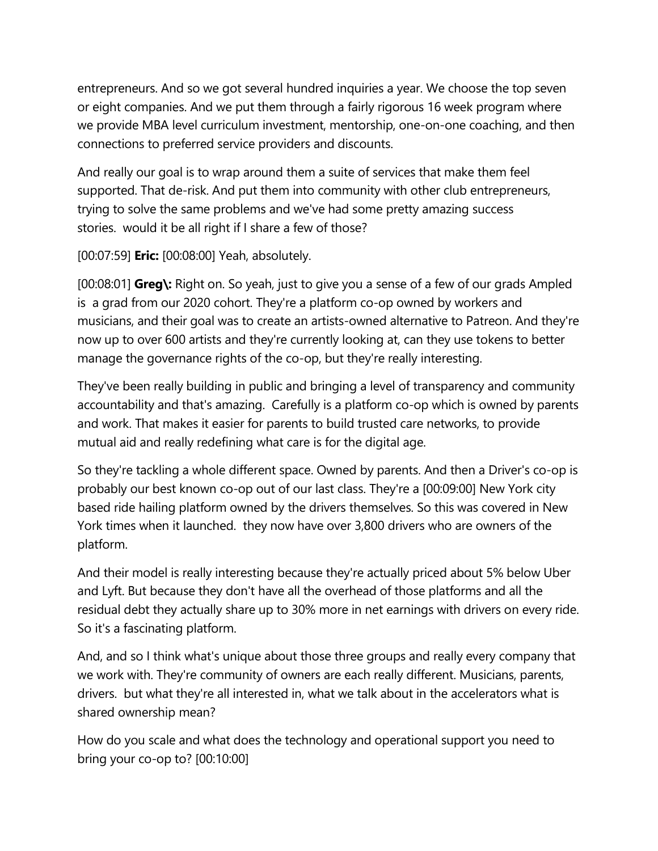entrepreneurs. And so we got several hundred inquiries a year. We choose the top seven or eight companies. And we put them through a fairly rigorous 16 week program where we provide MBA level curriculum investment, mentorship, one-on-one coaching, and then connections to preferred service providers and discounts.

And really our goal is to wrap around them a suite of services that make them feel supported. That de-risk. And put them into community with other club entrepreneurs, trying to solve the same problems and we've had some pretty amazing success stories. would it be all right if I share a few of those?

[00:07:59] **Eric:** [00:08:00] Yeah, absolutely.

[00:08:01] **Greg\:** Right on. So yeah, just to give you a sense of a few of our grads Ampled is a grad from our 2020 cohort. They're a platform co-op owned by workers and musicians, and their goal was to create an artists-owned alternative to Patreon. And they're now up to over 600 artists and they're currently looking at, can they use tokens to better manage the governance rights of the co-op, but they're really interesting.

They've been really building in public and bringing a level of transparency and community accountability and that's amazing. Carefully is a platform co-op which is owned by parents and work. That makes it easier for parents to build trusted care networks, to provide mutual aid and really redefining what care is for the digital age.

So they're tackling a whole different space. Owned by parents. And then a Driver's co-op is probably our best known co-op out of our last class. They're a [00:09:00] New York city based ride hailing platform owned by the drivers themselves. So this was covered in New York times when it launched. they now have over 3,800 drivers who are owners of the platform.

And their model is really interesting because they're actually priced about 5% below Uber and Lyft. But because they don't have all the overhead of those platforms and all the residual debt they actually share up to 30% more in net earnings with drivers on every ride. So it's a fascinating platform.

And, and so I think what's unique about those three groups and really every company that we work with. They're community of owners are each really different. Musicians, parents, drivers. but what they're all interested in, what we talk about in the accelerators what is shared ownership mean?

How do you scale and what does the technology and operational support you need to bring your co-op to? [00:10:00]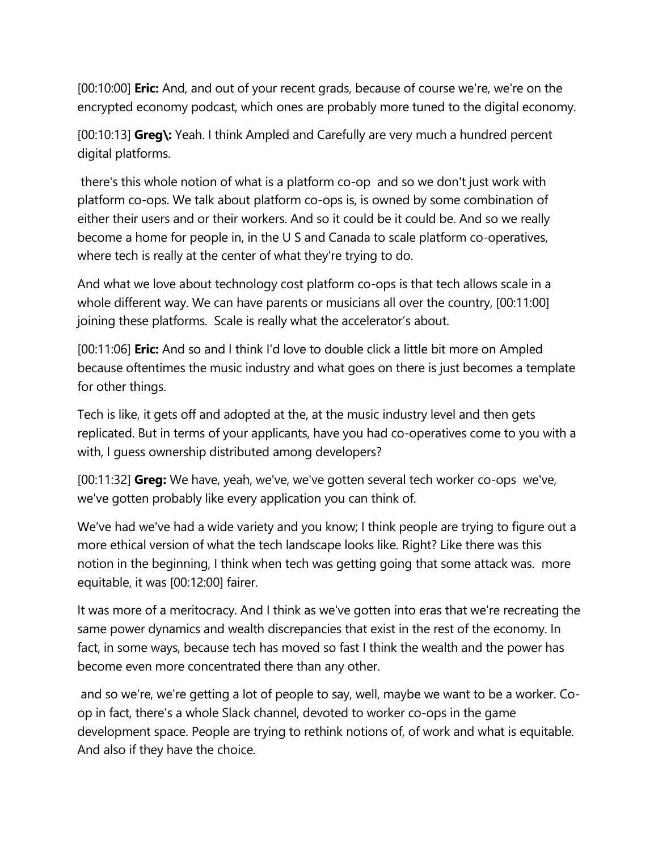[00:10:00] **Eric:** And, and out of your recent grads, because of course we're, we're on the encrypted economy podcast, which ones are probably more tuned to the digital economy.

[00:10:13] **Greg\:** Yeah. I think Ampled and Carefully are very much a hundred percent digital platforms.

there's this whole notion of what is a platform co-op and so we don't just work with platform co-ops. We talk about platform co-ops is, is owned by some combination of either their users and or their workers. And so it could be it could be. And so we really become a home for people in, in the U S and Canada to scale platform co-operatives, where tech is really at the center of what they're trying to do.

And what we love about technology cost platform co-ops is that tech allows scale in a whole different way. We can have parents or musicians all over the country, [00:11:00] joining these platforms. Scale is really what the accelerator's about.

[00:11:06] **Eric:** And so and I think I'd love to double click a little bit more on Ampled because oftentimes the music industry and what goes on there is just becomes a template for other things.

Tech is like, it gets off and adopted at the, at the music industry level and then gets replicated. But in terms of your applicants, have you had co-operatives come to you with a with, I guess ownership distributed among developers?

[00:11:32] **Greg:** We have, yeah, we've, we've gotten several tech worker co-ops we've, we've gotten probably like every application you can think of.

We've had we've had a wide variety and you know; I think people are trying to figure out a more ethical version of what the tech landscape looks like. Right? Like there was this notion in the beginning, I think when tech was getting going that some attack was. more equitable, it was [00:12:00] fairer.

It was more of a meritocracy. And I think as we've gotten into eras that we're recreating the same power dynamics and wealth discrepancies that exist in the rest of the economy. In fact, in some ways, because tech has moved so fast I think the wealth and the power has become even more concentrated there than any other.

and so we're, we're getting a lot of people to say, well, maybe we want to be a worker. Coop in fact, there's a whole Slack channel, devoted to worker co-ops in the game development space. People are trying to rethink notions of, of work and what is equitable. And also if they have the choice.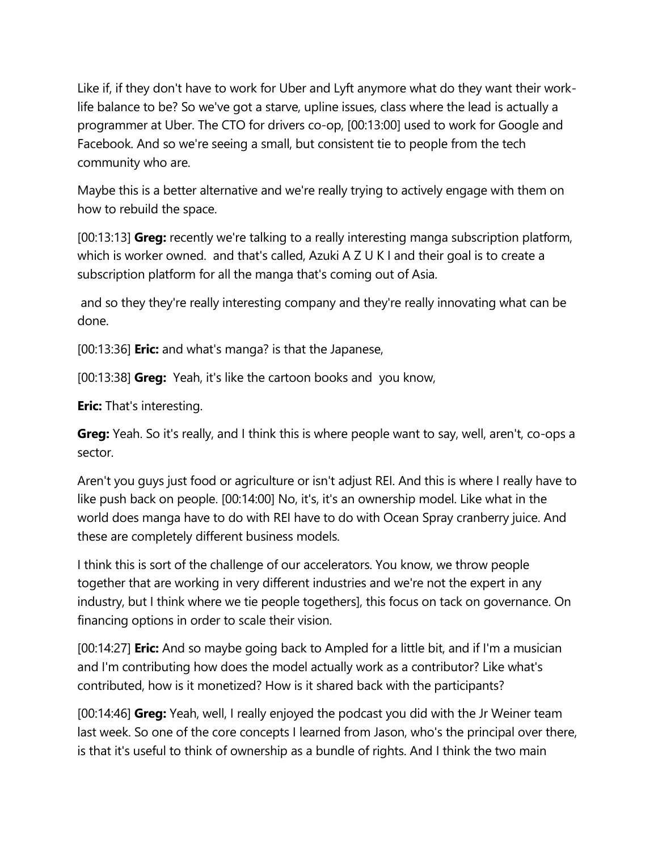Like if, if they don't have to work for Uber and Lyft anymore what do they want their worklife balance to be? So we've got a starve, upline issues, class where the lead is actually a programmer at Uber. The CTO for drivers co-op, [00:13:00] used to work for Google and Facebook. And so we're seeing a small, but consistent tie to people from the tech community who are.

Maybe this is a better alternative and we're really trying to actively engage with them on how to rebuild the space.

[00:13:13] **Greg:** recently we're talking to a really interesting manga subscription platform, which is worker owned. and that's called, Azuki A Z U K I and their goal is to create a subscription platform for all the manga that's coming out of Asia.

and so they they're really interesting company and they're really innovating what can be done.

[00:13:36] **Eric:** and what's manga? is that the Japanese,

[00:13:38] **Greg:** Yeah, it's like the cartoon books and you know,

**Eric:** That's interesting.

**Greg:** Yeah. So it's really, and I think this is where people want to say, well, aren't, co-ops a sector.

Aren't you guys just food or agriculture or isn't adjust REI. And this is where I really have to like push back on people. [00:14:00] No, it's, it's an ownership model. Like what in the world does manga have to do with REI have to do with Ocean Spray cranberry juice. And these are completely different business models.

I think this is sort of the challenge of our accelerators. You know, we throw people together that are working in very different industries and we're not the expert in any industry, but I think where we tie people togethers], this focus on tack on governance. On financing options in order to scale their vision.

[00:14:27] **Eric:** And so maybe going back to Ampled for a little bit, and if I'm a musician and I'm contributing how does the model actually work as a contributor? Like what's contributed, how is it monetized? How is it shared back with the participants?

[00:14:46] **Greg:** Yeah, well, I really enjoyed the podcast you did with the Jr Weiner team last week. So one of the core concepts I learned from Jason, who's the principal over there, is that it's useful to think of ownership as a bundle of rights. And I think the two main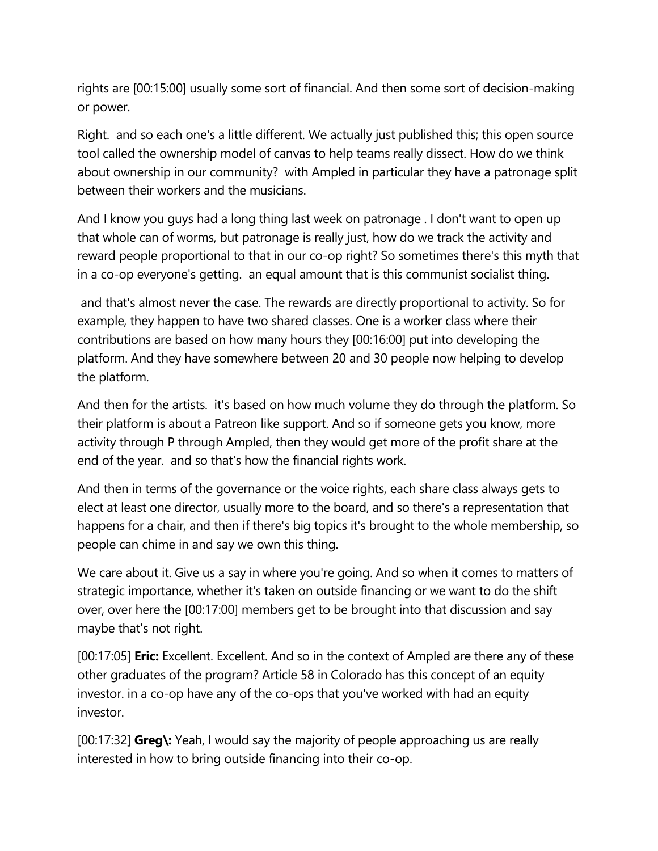rights are [00:15:00] usually some sort of financial. And then some sort of decision-making or power.

Right. and so each one's a little different. We actually just published this; this open source tool called the ownership model of canvas to help teams really dissect. How do we think about ownership in our community? with Ampled in particular they have a patronage split between their workers and the musicians.

And I know you guys had a long thing last week on patronage . I don't want to open up that whole can of worms, but patronage is really just, how do we track the activity and reward people proportional to that in our co-op right? So sometimes there's this myth that in a co-op everyone's getting. an equal amount that is this communist socialist thing.

and that's almost never the case. The rewards are directly proportional to activity. So for example, they happen to have two shared classes. One is a worker class where their contributions are based on how many hours they [00:16:00] put into developing the platform. And they have somewhere between 20 and 30 people now helping to develop the platform.

And then for the artists. it's based on how much volume they do through the platform. So their platform is about a Patreon like support. And so if someone gets you know, more activity through P through Ampled, then they would get more of the profit share at the end of the year. and so that's how the financial rights work.

And then in terms of the governance or the voice rights, each share class always gets to elect at least one director, usually more to the board, and so there's a representation that happens for a chair, and then if there's big topics it's brought to the whole membership, so people can chime in and say we own this thing.

We care about it. Give us a say in where you're going. And so when it comes to matters of strategic importance, whether it's taken on outside financing or we want to do the shift over, over here the [00:17:00] members get to be brought into that discussion and say maybe that's not right.

[00:17:05] **Eric:** Excellent. Excellent. And so in the context of Ampled are there any of these other graduates of the program? Article 58 in Colorado has this concept of an equity investor. in a co-op have any of the co-ops that you've worked with had an equity investor.

[00:17:32] **Greg\:** Yeah, I would say the majority of people approaching us are really interested in how to bring outside financing into their co-op.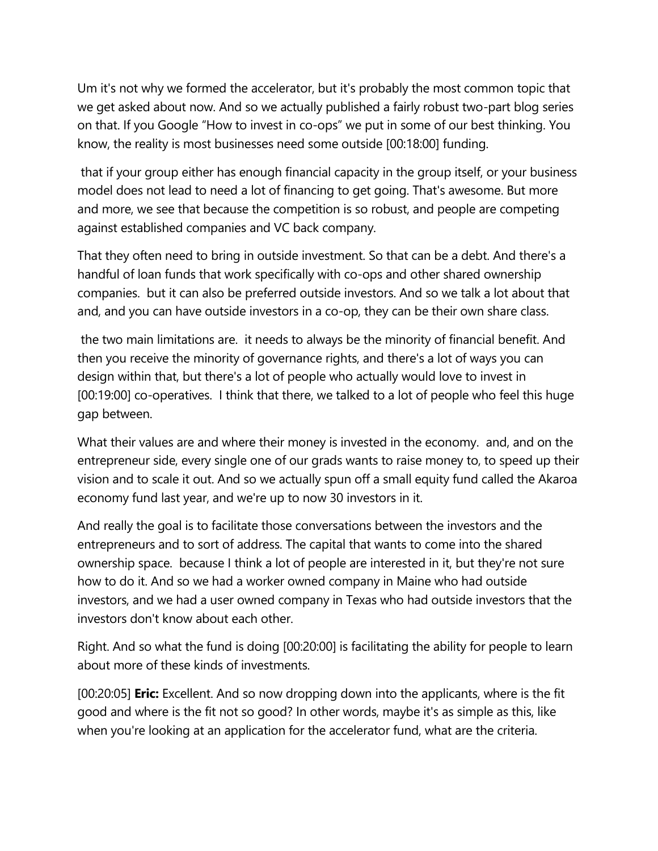Um it's not why we formed the accelerator, but it's probably the most common topic that we get asked about now. And so we actually published a fairly robust two-part blog series on that. If you Google "How to invest in co-ops" we put in some of our best thinking. You know, the reality is most businesses need some outside [00:18:00] funding.

that if your group either has enough financial capacity in the group itself, or your business model does not lead to need a lot of financing to get going. That's awesome. But more and more, we see that because the competition is so robust, and people are competing against established companies and VC back company.

That they often need to bring in outside investment. So that can be a debt. And there's a handful of loan funds that work specifically with co-ops and other shared ownership companies. but it can also be preferred outside investors. And so we talk a lot about that and, and you can have outside investors in a co-op, they can be their own share class.

the two main limitations are. it needs to always be the minority of financial benefit. And then you receive the minority of governance rights, and there's a lot of ways you can design within that, but there's a lot of people who actually would love to invest in [00:19:00] co-operatives. I think that there, we talked to a lot of people who feel this huge gap between.

What their values are and where their money is invested in the economy. and, and on the entrepreneur side, every single one of our grads wants to raise money to, to speed up their vision and to scale it out. And so we actually spun off a small equity fund called the Akaroa economy fund last year, and we're up to now 30 investors in it.

And really the goal is to facilitate those conversations between the investors and the entrepreneurs and to sort of address. The capital that wants to come into the shared ownership space. because I think a lot of people are interested in it, but they're not sure how to do it. And so we had a worker owned company in Maine who had outside investors, and we had a user owned company in Texas who had outside investors that the investors don't know about each other.

Right. And so what the fund is doing [00:20:00] is facilitating the ability for people to learn about more of these kinds of investments.

[00:20:05] **Eric:** Excellent. And so now dropping down into the applicants, where is the fit good and where is the fit not so good? In other words, maybe it's as simple as this, like when you're looking at an application for the accelerator fund, what are the criteria.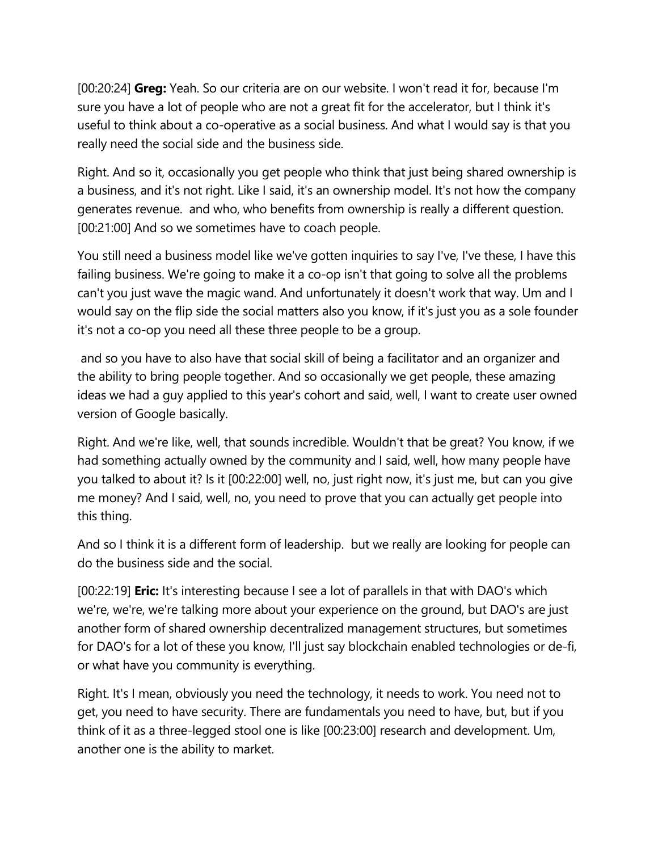[00:20:24] **Greg:** Yeah. So our criteria are on our website. I won't read it for, because I'm sure you have a lot of people who are not a great fit for the accelerator, but I think it's useful to think about a co-operative as a social business. And what I would say is that you really need the social side and the business side.

Right. And so it, occasionally you get people who think that just being shared ownership is a business, and it's not right. Like I said, it's an ownership model. It's not how the company generates revenue. and who, who benefits from ownership is really a different question. [00:21:00] And so we sometimes have to coach people.

You still need a business model like we've gotten inquiries to say I've, I've these, I have this failing business. We're going to make it a co-op isn't that going to solve all the problems can't you just wave the magic wand. And unfortunately it doesn't work that way. Um and I would say on the flip side the social matters also you know, if it's just you as a sole founder it's not a co-op you need all these three people to be a group.

and so you have to also have that social skill of being a facilitator and an organizer and the ability to bring people together. And so occasionally we get people, these amazing ideas we had a guy applied to this year's cohort and said, well, I want to create user owned version of Google basically.

Right. And we're like, well, that sounds incredible. Wouldn't that be great? You know, if we had something actually owned by the community and I said, well, how many people have you talked to about it? Is it [00:22:00] well, no, just right now, it's just me, but can you give me money? And I said, well, no, you need to prove that you can actually get people into this thing.

And so I think it is a different form of leadership. but we really are looking for people can do the business side and the social.

[00:22:19] **Eric:** It's interesting because I see a lot of parallels in that with DAO's which we're, we're, we're talking more about your experience on the ground, but DAO's are just another form of shared ownership decentralized management structures, but sometimes for DAO's for a lot of these you know, I'll just say blockchain enabled technologies or de-fi, or what have you community is everything.

Right. It's I mean, obviously you need the technology, it needs to work. You need not to get, you need to have security. There are fundamentals you need to have, but, but if you think of it as a three-legged stool one is like [00:23:00] research and development. Um, another one is the ability to market.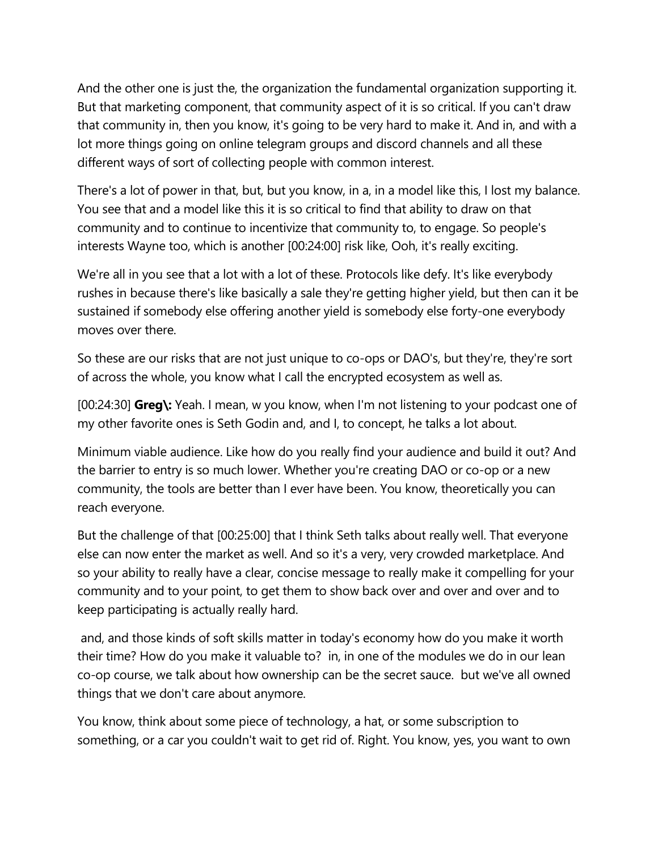And the other one is just the, the organization the fundamental organization supporting it. But that marketing component, that community aspect of it is so critical. If you can't draw that community in, then you know, it's going to be very hard to make it. And in, and with a lot more things going on online telegram groups and discord channels and all these different ways of sort of collecting people with common interest.

There's a lot of power in that, but, but you know, in a, in a model like this, I lost my balance. You see that and a model like this it is so critical to find that ability to draw on that community and to continue to incentivize that community to, to engage. So people's interests Wayne too, which is another [00:24:00] risk like, Ooh, it's really exciting.

We're all in you see that a lot with a lot of these. Protocols like defy. It's like everybody rushes in because there's like basically a sale they're getting higher yield, but then can it be sustained if somebody else offering another yield is somebody else forty-one everybody moves over there.

So these are our risks that are not just unique to co-ops or DAO's, but they're, they're sort of across the whole, you know what I call the encrypted ecosystem as well as.

[00:24:30] **Greg\:** Yeah. I mean, w you know, when I'm not listening to your podcast one of my other favorite ones is Seth Godin and, and I, to concept, he talks a lot about.

Minimum viable audience. Like how do you really find your audience and build it out? And the barrier to entry is so much lower. Whether you're creating DAO or co-op or a new community, the tools are better than I ever have been. You know, theoretically you can reach everyone.

But the challenge of that [00:25:00] that I think Seth talks about really well. That everyone else can now enter the market as well. And so it's a very, very crowded marketplace. And so your ability to really have a clear, concise message to really make it compelling for your community and to your point, to get them to show back over and over and over and to keep participating is actually really hard.

and, and those kinds of soft skills matter in today's economy how do you make it worth their time? How do you make it valuable to? in, in one of the modules we do in our lean co-op course, we talk about how ownership can be the secret sauce. but we've all owned things that we don't care about anymore.

You know, think about some piece of technology, a hat, or some subscription to something, or a car you couldn't wait to get rid of. Right. You know, yes, you want to own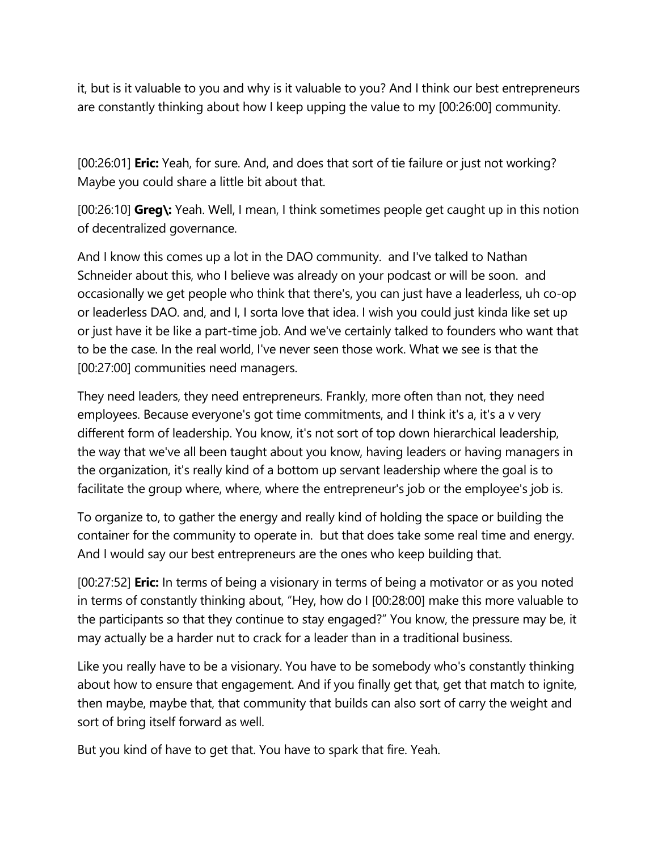it, but is it valuable to you and why is it valuable to you? And I think our best entrepreneurs are constantly thinking about how I keep upping the value to my [00:26:00] community.

[00:26:01] **Eric:** Yeah, for sure. And, and does that sort of tie failure or just not working? Maybe you could share a little bit about that.

[00:26:10] **Greg\:** Yeah. Well, I mean, I think sometimes people get caught up in this notion of decentralized governance.

And I know this comes up a lot in the DAO community. and I've talked to Nathan Schneider about this, who I believe was already on your podcast or will be soon. and occasionally we get people who think that there's, you can just have a leaderless, uh co-op or leaderless DAO. and, and I, I sorta love that idea. I wish you could just kinda like set up or just have it be like a part-time job. And we've certainly talked to founders who want that to be the case. In the real world, I've never seen those work. What we see is that the [00:27:00] communities need managers.

They need leaders, they need entrepreneurs. Frankly, more often than not, they need employees. Because everyone's got time commitments, and I think it's a, it's a v very different form of leadership. You know, it's not sort of top down hierarchical leadership, the way that we've all been taught about you know, having leaders or having managers in the organization, it's really kind of a bottom up servant leadership where the goal is to facilitate the group where, where, where the entrepreneur's job or the employee's job is.

To organize to, to gather the energy and really kind of holding the space or building the container for the community to operate in. but that does take some real time and energy. And I would say our best entrepreneurs are the ones who keep building that.

[00:27:52] **Eric:** In terms of being a visionary in terms of being a motivator or as you noted in terms of constantly thinking about, "Hey, how do I [00:28:00] make this more valuable to the participants so that they continue to stay engaged?" You know, the pressure may be, it may actually be a harder nut to crack for a leader than in a traditional business.

Like you really have to be a visionary. You have to be somebody who's constantly thinking about how to ensure that engagement. And if you finally get that, get that match to ignite, then maybe, maybe that, that community that builds can also sort of carry the weight and sort of bring itself forward as well.

But you kind of have to get that. You have to spark that fire. Yeah.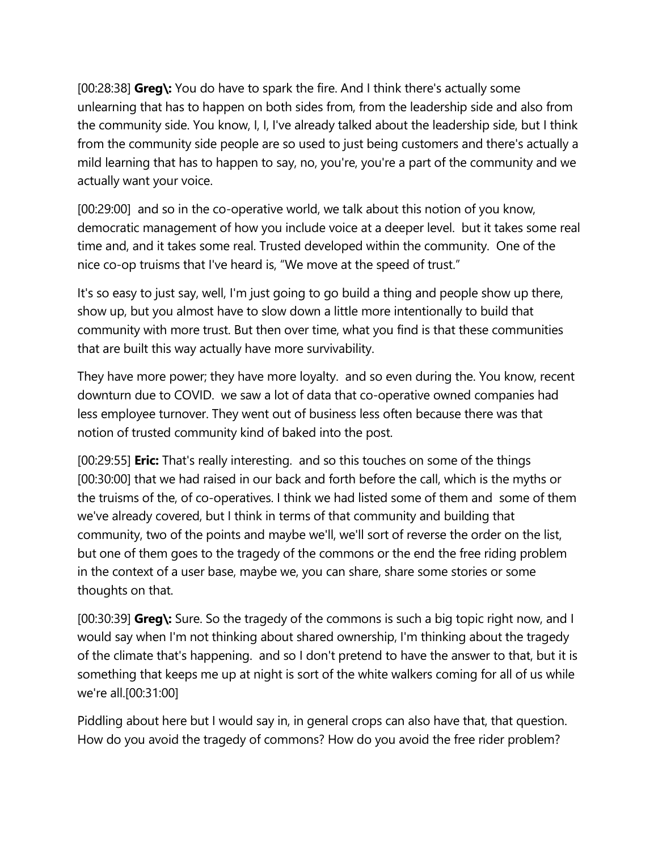[00:28:38] **Greg\:** You do have to spark the fire. And I think there's actually some unlearning that has to happen on both sides from, from the leadership side and also from the community side. You know, I, I, I've already talked about the leadership side, but I think from the community side people are so used to just being customers and there's actually a mild learning that has to happen to say, no, you're, you're a part of the community and we actually want your voice.

[00:29:00] and so in the co-operative world, we talk about this notion of you know, democratic management of how you include voice at a deeper level. but it takes some real time and, and it takes some real. Trusted developed within the community. One of the nice co-op truisms that I've heard is, "We move at the speed of trust."

It's so easy to just say, well, I'm just going to go build a thing and people show up there, show up, but you almost have to slow down a little more intentionally to build that community with more trust. But then over time, what you find is that these communities that are built this way actually have more survivability.

They have more power; they have more loyalty. and so even during the. You know, recent downturn due to COVID. we saw a lot of data that co-operative owned companies had less employee turnover. They went out of business less often because there was that notion of trusted community kind of baked into the post.

[00:29:55] **Eric:** That's really interesting. and so this touches on some of the things [00:30:00] that we had raised in our back and forth before the call, which is the myths or the truisms of the, of co-operatives. I think we had listed some of them and some of them we've already covered, but I think in terms of that community and building that community, two of the points and maybe we'll, we'll sort of reverse the order on the list, but one of them goes to the tragedy of the commons or the end the free riding problem in the context of a user base, maybe we, you can share, share some stories or some thoughts on that.

[00:30:39] **Greg\:** Sure. So the tragedy of the commons is such a big topic right now, and I would say when I'm not thinking about shared ownership, I'm thinking about the tragedy of the climate that's happening. and so I don't pretend to have the answer to that, but it is something that keeps me up at night is sort of the white walkers coming for all of us while we're all.[00:31:00]

Piddling about here but I would say in, in general crops can also have that, that question. How do you avoid the tragedy of commons? How do you avoid the free rider problem?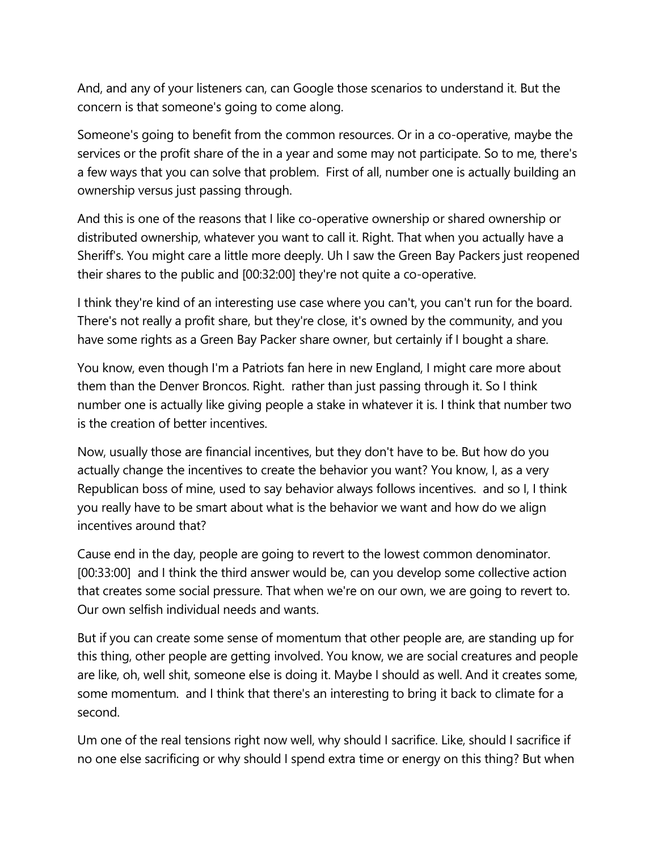And, and any of your listeners can, can Google those scenarios to understand it. But the concern is that someone's going to come along.

Someone's going to benefit from the common resources. Or in a co-operative, maybe the services or the profit share of the in a year and some may not participate. So to me, there's a few ways that you can solve that problem. First of all, number one is actually building an ownership versus just passing through.

And this is one of the reasons that I like co-operative ownership or shared ownership or distributed ownership, whatever you want to call it. Right. That when you actually have a Sheriff's. You might care a little more deeply. Uh I saw the Green Bay Packers just reopened their shares to the public and [00:32:00] they're not quite a co-operative.

I think they're kind of an interesting use case where you can't, you can't run for the board. There's not really a profit share, but they're close, it's owned by the community, and you have some rights as a Green Bay Packer share owner, but certainly if I bought a share.

You know, even though I'm a Patriots fan here in new England, I might care more about them than the Denver Broncos. Right. rather than just passing through it. So I think number one is actually like giving people a stake in whatever it is. I think that number two is the creation of better incentives.

Now, usually those are financial incentives, but they don't have to be. But how do you actually change the incentives to create the behavior you want? You know, I, as a very Republican boss of mine, used to say behavior always follows incentives. and so I, I think you really have to be smart about what is the behavior we want and how do we align incentives around that?

Cause end in the day, people are going to revert to the lowest common denominator. [00:33:00] and I think the third answer would be, can you develop some collective action that creates some social pressure. That when we're on our own, we are going to revert to. Our own selfish individual needs and wants.

But if you can create some sense of momentum that other people are, are standing up for this thing, other people are getting involved. You know, we are social creatures and people are like, oh, well shit, someone else is doing it. Maybe I should as well. And it creates some, some momentum. and I think that there's an interesting to bring it back to climate for a second.

Um one of the real tensions right now well, why should I sacrifice. Like, should I sacrifice if no one else sacrificing or why should I spend extra time or energy on this thing? But when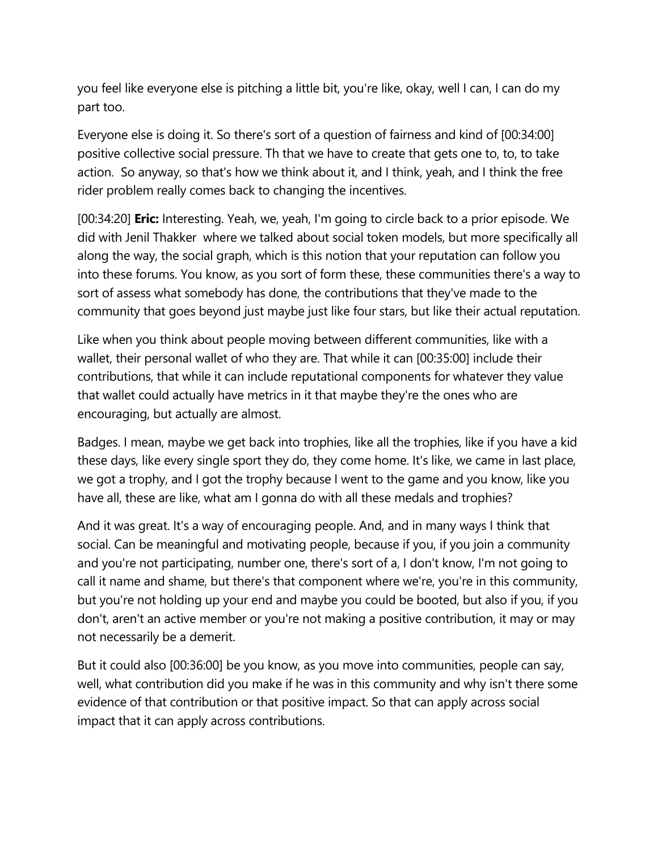you feel like everyone else is pitching a little bit, you're like, okay, well I can, I can do my part too.

Everyone else is doing it. So there's sort of a question of fairness and kind of [00:34:00] positive collective social pressure. Th that we have to create that gets one to, to, to take action. So anyway, so that's how we think about it, and I think, yeah, and I think the free rider problem really comes back to changing the incentives.

[00:34:20] **Eric:** Interesting. Yeah, we, yeah, I'm going to circle back to a prior episode. We did with Jenil Thakker where we talked about social token models, but more specifically all along the way, the social graph, which is this notion that your reputation can follow you into these forums. You know, as you sort of form these, these communities there's a way to sort of assess what somebody has done, the contributions that they've made to the community that goes beyond just maybe just like four stars, but like their actual reputation.

Like when you think about people moving between different communities, like with a wallet, their personal wallet of who they are. That while it can [00:35:00] include their contributions, that while it can include reputational components for whatever they value that wallet could actually have metrics in it that maybe they're the ones who are encouraging, but actually are almost.

Badges. I mean, maybe we get back into trophies, like all the trophies, like if you have a kid these days, like every single sport they do, they come home. It's like, we came in last place, we got a trophy, and I got the trophy because I went to the game and you know, like you have all, these are like, what am I gonna do with all these medals and trophies?

And it was great. It's a way of encouraging people. And, and in many ways I think that social. Can be meaningful and motivating people, because if you, if you join a community and you're not participating, number one, there's sort of a, I don't know, I'm not going to call it name and shame, but there's that component where we're, you're in this community, but you're not holding up your end and maybe you could be booted, but also if you, if you don't, aren't an active member or you're not making a positive contribution, it may or may not necessarily be a demerit.

But it could also [00:36:00] be you know, as you move into communities, people can say, well, what contribution did you make if he was in this community and why isn't there some evidence of that contribution or that positive impact. So that can apply across social impact that it can apply across contributions.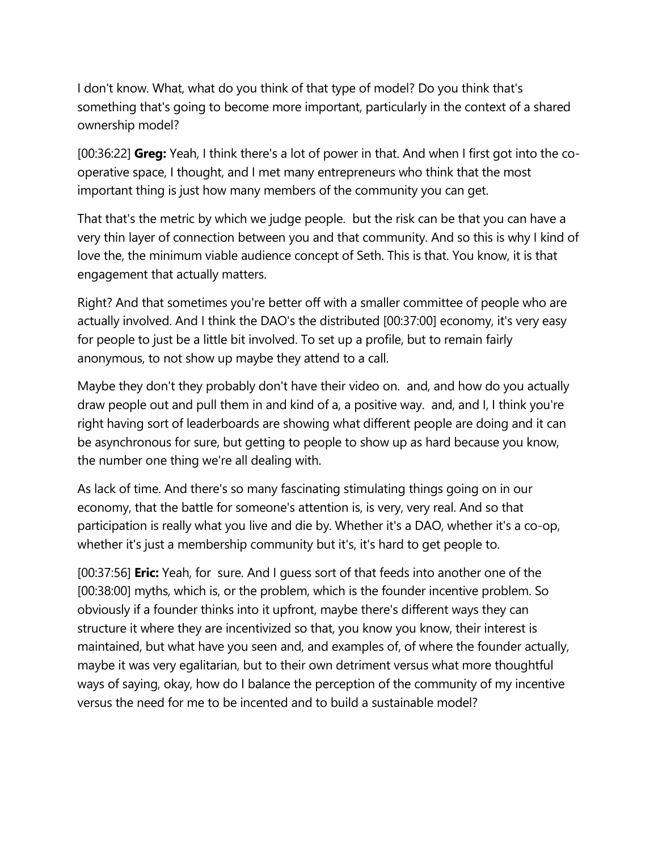I don't know. What, what do you think of that type of model? Do you think that's something that's going to become more important, particularly in the context of a shared ownership model?

[00:36:22] **Greg:** Yeah, I think there's a lot of power in that. And when I first got into the cooperative space, I thought, and I met many entrepreneurs who think that the most important thing is just how many members of the community you can get.

That that's the metric by which we judge people. but the risk can be that you can have a very thin layer of connection between you and that community. And so this is why I kind of love the, the minimum viable audience concept of Seth. This is that. You know, it is that engagement that actually matters.

Right? And that sometimes you're better off with a smaller committee of people who are actually involved. And I think the DAO's the distributed [00:37:00] economy, it's very easy for people to just be a little bit involved. To set up a profile, but to remain fairly anonymous, to not show up maybe they attend to a call.

Maybe they don't they probably don't have their video on. and, and how do you actually draw people out and pull them in and kind of a, a positive way. and, and I, I think you're right having sort of leaderboards are showing what different people are doing and it can be asynchronous for sure, but getting to people to show up as hard because you know, the number one thing we're all dealing with.

As lack of time. And there's so many fascinating stimulating things going on in our economy, that the battle for someone's attention is, is very, very real. And so that participation is really what you live and die by. Whether it's a DAO, whether it's a co-op, whether it's just a membership community but it's, it's hard to get people to.

[00:37:56] **Eric:** Yeah, for sure. And I guess sort of that feeds into another one of the [00:38:00] myths, which is, or the problem, which is the founder incentive problem. So obviously if a founder thinks into it upfront, maybe there's different ways they can structure it where they are incentivized so that, you know you know, their interest is maintained, but what have you seen and, and examples of, of where the founder actually, maybe it was very egalitarian, but to their own detriment versus what more thoughtful ways of saying, okay, how do I balance the perception of the community of my incentive versus the need for me to be incented and to build a sustainable model?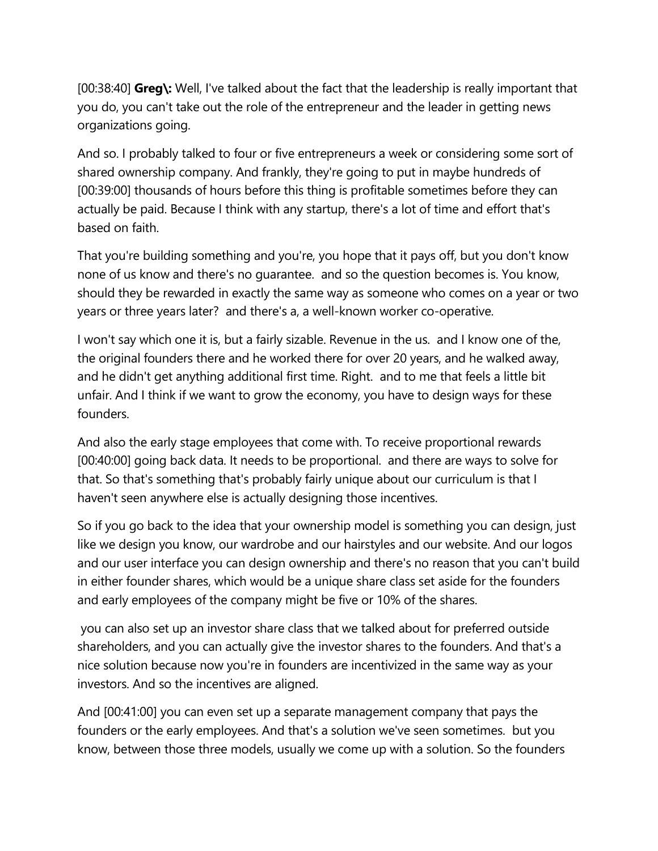[00:38:40] **Greg\:** Well, I've talked about the fact that the leadership is really important that you do, you can't take out the role of the entrepreneur and the leader in getting news organizations going.

And so. I probably talked to four or five entrepreneurs a week or considering some sort of shared ownership company. And frankly, they're going to put in maybe hundreds of [00:39:00] thousands of hours before this thing is profitable sometimes before they can actually be paid. Because I think with any startup, there's a lot of time and effort that's based on faith.

That you're building something and you're, you hope that it pays off, but you don't know none of us know and there's no guarantee. and so the question becomes is. You know, should they be rewarded in exactly the same way as someone who comes on a year or two years or three years later? and there's a, a well-known worker co-operative.

I won't say which one it is, but a fairly sizable. Revenue in the us. and I know one of the, the original founders there and he worked there for over 20 years, and he walked away, and he didn't get anything additional first time. Right. and to me that feels a little bit unfair. And I think if we want to grow the economy, you have to design ways for these founders.

And also the early stage employees that come with. To receive proportional rewards [00:40:00] going back data. It needs to be proportional. and there are ways to solve for that. So that's something that's probably fairly unique about our curriculum is that I haven't seen anywhere else is actually designing those incentives.

So if you go back to the idea that your ownership model is something you can design, just like we design you know, our wardrobe and our hairstyles and our website. And our logos and our user interface you can design ownership and there's no reason that you can't build in either founder shares, which would be a unique share class set aside for the founders and early employees of the company might be five or 10% of the shares.

you can also set up an investor share class that we talked about for preferred outside shareholders, and you can actually give the investor shares to the founders. And that's a nice solution because now you're in founders are incentivized in the same way as your investors. And so the incentives are aligned.

And [00:41:00] you can even set up a separate management company that pays the founders or the early employees. And that's a solution we've seen sometimes. but you know, between those three models, usually we come up with a solution. So the founders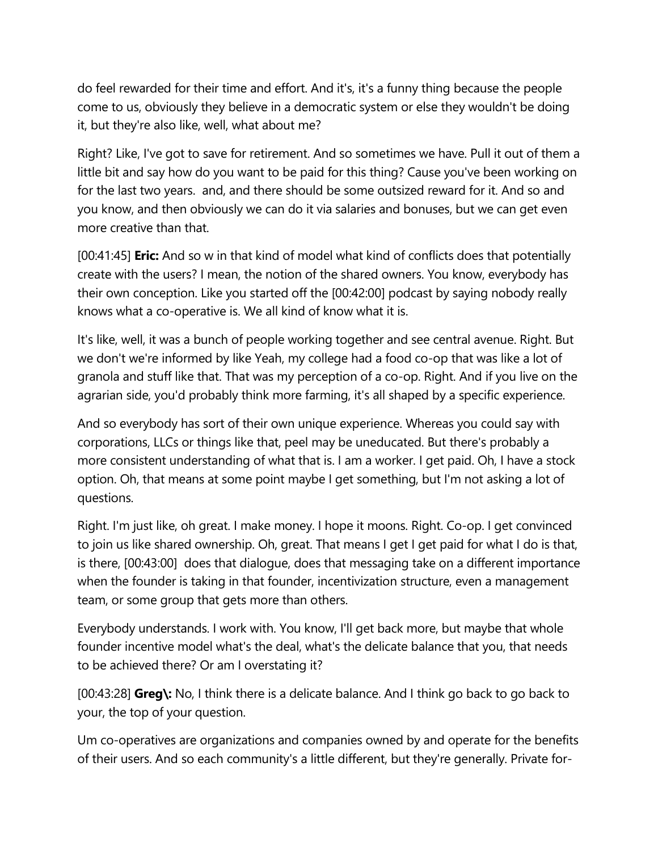do feel rewarded for their time and effort. And it's, it's a funny thing because the people come to us, obviously they believe in a democratic system or else they wouldn't be doing it, but they're also like, well, what about me?

Right? Like, I've got to save for retirement. And so sometimes we have. Pull it out of them a little bit and say how do you want to be paid for this thing? Cause you've been working on for the last two years. and, and there should be some outsized reward for it. And so and you know, and then obviously we can do it via salaries and bonuses, but we can get even more creative than that.

[00:41:45] **Eric:** And so w in that kind of model what kind of conflicts does that potentially create with the users? I mean, the notion of the shared owners. You know, everybody has their own conception. Like you started off the [00:42:00] podcast by saying nobody really knows what a co-operative is. We all kind of know what it is.

It's like, well, it was a bunch of people working together and see central avenue. Right. But we don't we're informed by like Yeah, my college had a food co-op that was like a lot of granola and stuff like that. That was my perception of a co-op. Right. And if you live on the agrarian side, you'd probably think more farming, it's all shaped by a specific experience.

And so everybody has sort of their own unique experience. Whereas you could say with corporations, LLCs or things like that, peel may be uneducated. But there's probably a more consistent understanding of what that is. I am a worker. I get paid. Oh, I have a stock option. Oh, that means at some point maybe I get something, but I'm not asking a lot of questions.

Right. I'm just like, oh great. I make money. I hope it moons. Right. Co-op. I get convinced to join us like shared ownership. Oh, great. That means I get I get paid for what I do is that, is there, [00:43:00] does that dialogue, does that messaging take on a different importance when the founder is taking in that founder, incentivization structure, even a management team, or some group that gets more than others.

Everybody understands. I work with. You know, I'll get back more, but maybe that whole founder incentive model what's the deal, what's the delicate balance that you, that needs to be achieved there? Or am I overstating it?

[00:43:28] **Greg\:** No, I think there is a delicate balance. And I think go back to go back to your, the top of your question.

Um co-operatives are organizations and companies owned by and operate for the benefits of their users. And so each community's a little different, but they're generally. Private for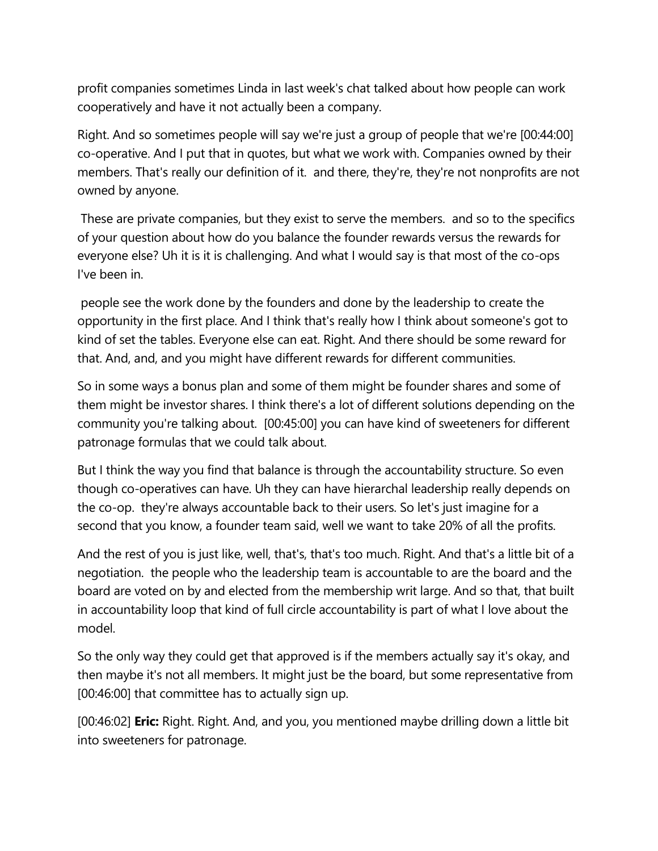profit companies sometimes Linda in last week's chat talked about how people can work cooperatively and have it not actually been a company.

Right. And so sometimes people will say we're just a group of people that we're [00:44:00] co-operative. And I put that in quotes, but what we work with. Companies owned by their members. That's really our definition of it. and there, they're, they're not nonprofits are not owned by anyone.

These are private companies, but they exist to serve the members. and so to the specifics of your question about how do you balance the founder rewards versus the rewards for everyone else? Uh it is it is challenging. And what I would say is that most of the co-ops I've been in.

people see the work done by the founders and done by the leadership to create the opportunity in the first place. And I think that's really how I think about someone's got to kind of set the tables. Everyone else can eat. Right. And there should be some reward for that. And, and, and you might have different rewards for different communities.

So in some ways a bonus plan and some of them might be founder shares and some of them might be investor shares. I think there's a lot of different solutions depending on the community you're talking about. [00:45:00] you can have kind of sweeteners for different patronage formulas that we could talk about.

But I think the way you find that balance is through the accountability structure. So even though co-operatives can have. Uh they can have hierarchal leadership really depends on the co-op. they're always accountable back to their users. So let's just imagine for a second that you know, a founder team said, well we want to take 20% of all the profits.

And the rest of you is just like, well, that's, that's too much. Right. And that's a little bit of a negotiation. the people who the leadership team is accountable to are the board and the board are voted on by and elected from the membership writ large. And so that, that built in accountability loop that kind of full circle accountability is part of what I love about the model.

So the only way they could get that approved is if the members actually say it's okay, and then maybe it's not all members. It might just be the board, but some representative from [00:46:00] that committee has to actually sign up.

[00:46:02] **Eric:** Right. Right. And, and you, you mentioned maybe drilling down a little bit into sweeteners for patronage.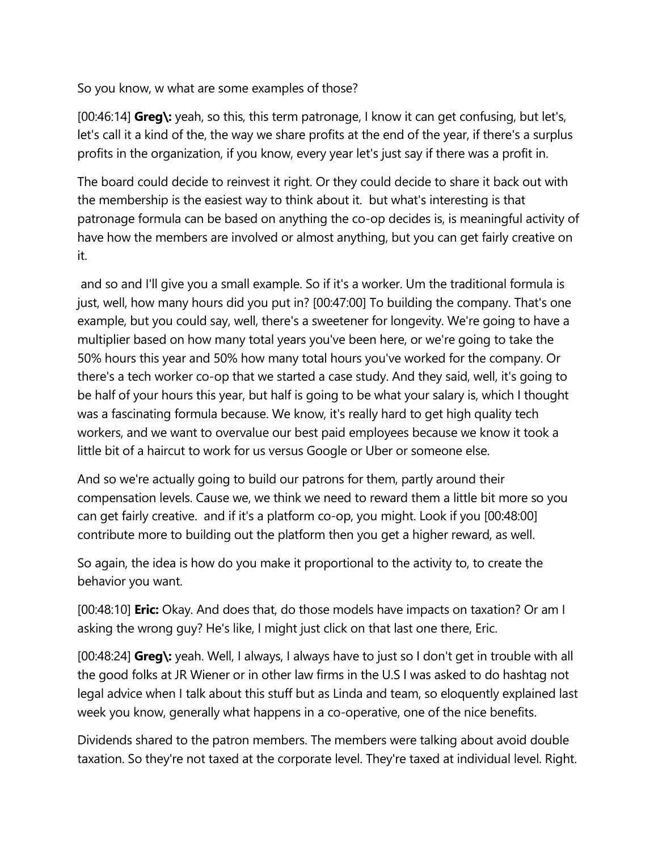So you know, w what are some examples of those?

[00:46:14] **Greg\:** yeah, so this, this term patronage, I know it can get confusing, but let's, let's call it a kind of the, the way we share profits at the end of the year, if there's a surplus profits in the organization, if you know, every year let's just say if there was a profit in.

The board could decide to reinvest it right. Or they could decide to share it back out with the membership is the easiest way to think about it. but what's interesting is that patronage formula can be based on anything the co-op decides is, is meaningful activity of have how the members are involved or almost anything, but you can get fairly creative on it.

and so and I'll give you a small example. So if it's a worker. Um the traditional formula is just, well, how many hours did you put in? [00:47:00] To building the company. That's one example, but you could say, well, there's a sweetener for longevity. We're going to have a multiplier based on how many total years you've been here, or we're going to take the 50% hours this year and 50% how many total hours you've worked for the company. Or there's a tech worker co-op that we started a case study. And they said, well, it's going to be half of your hours this year, but half is going to be what your salary is, which I thought was a fascinating formula because. We know, it's really hard to get high quality tech workers, and we want to overvalue our best paid employees because we know it took a little bit of a haircut to work for us versus Google or Uber or someone else.

And so we're actually going to build our patrons for them, partly around their compensation levels. Cause we, we think we need to reward them a little bit more so you can get fairly creative. and if it's a platform co-op, you might. Look if you [00:48:00] contribute more to building out the platform then you get a higher reward, as well.

So again, the idea is how do you make it proportional to the activity to, to create the behavior you want.

[00:48:10] **Eric:** Okay. And does that, do those models have impacts on taxation? Or am I asking the wrong guy? He's like, I might just click on that last one there, Eric.

[00:48:24] **Greg\:** yeah. Well, I always, I always have to just so I don't get in trouble with all the good folks at JR Wiener or in other law firms in the U.S I was asked to do hashtag not legal advice when I talk about this stuff but as Linda and team, so eloquently explained last week you know, generally what happens in a co-operative, one of the nice benefits.

Dividends shared to the patron members. The members were talking about avoid double taxation. So they're not taxed at the corporate level. They're taxed at individual level. Right.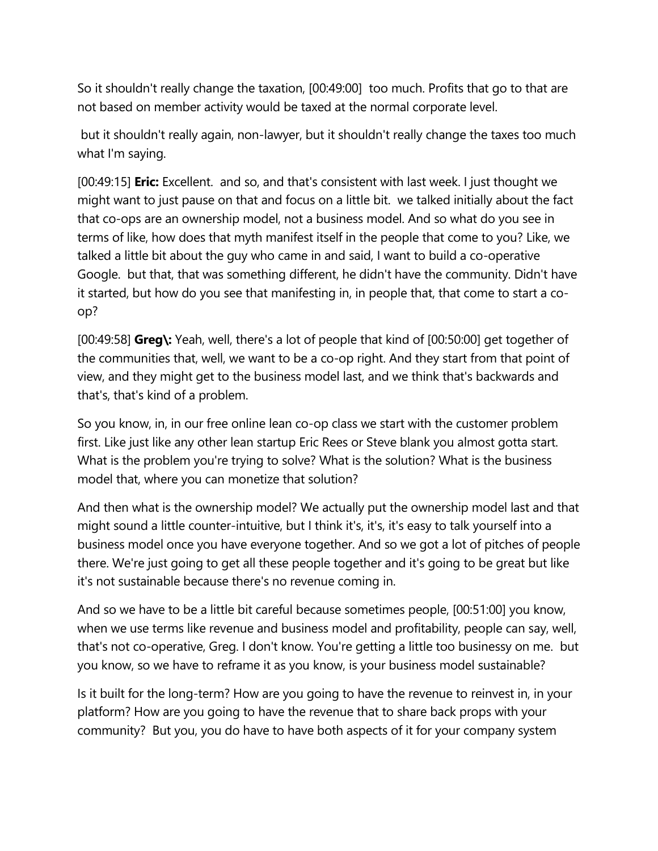So it shouldn't really change the taxation, [00:49:00] too much. Profits that go to that are not based on member activity would be taxed at the normal corporate level.

but it shouldn't really again, non-lawyer, but it shouldn't really change the taxes too much what I'm saying.

[00:49:15] **Eric:** Excellent. and so, and that's consistent with last week. I just thought we might want to just pause on that and focus on a little bit. we talked initially about the fact that co-ops are an ownership model, not a business model. And so what do you see in terms of like, how does that myth manifest itself in the people that come to you? Like, we talked a little bit about the guy who came in and said, I want to build a co-operative Google. but that, that was something different, he didn't have the community. Didn't have it started, but how do you see that manifesting in, in people that, that come to start a coop?

[00:49:58] **Greg\:** Yeah, well, there's a lot of people that kind of [00:50:00] get together of the communities that, well, we want to be a co-op right. And they start from that point of view, and they might get to the business model last, and we think that's backwards and that's, that's kind of a problem.

So you know, in, in our free online lean co-op class we start with the customer problem first. Like just like any other lean startup Eric Rees or Steve blank you almost gotta start. What is the problem you're trying to solve? What is the solution? What is the business model that, where you can monetize that solution?

And then what is the ownership model? We actually put the ownership model last and that might sound a little counter-intuitive, but I think it's, it's, it's easy to talk yourself into a business model once you have everyone together. And so we got a lot of pitches of people there. We're just going to get all these people together and it's going to be great but like it's not sustainable because there's no revenue coming in.

And so we have to be a little bit careful because sometimes people, [00:51:00] you know, when we use terms like revenue and business model and profitability, people can say, well, that's not co-operative, Greg. I don't know. You're getting a little too businessy on me. but you know, so we have to reframe it as you know, is your business model sustainable?

Is it built for the long-term? How are you going to have the revenue to reinvest in, in your platform? How are you going to have the revenue that to share back props with your community? But you, you do have to have both aspects of it for your company system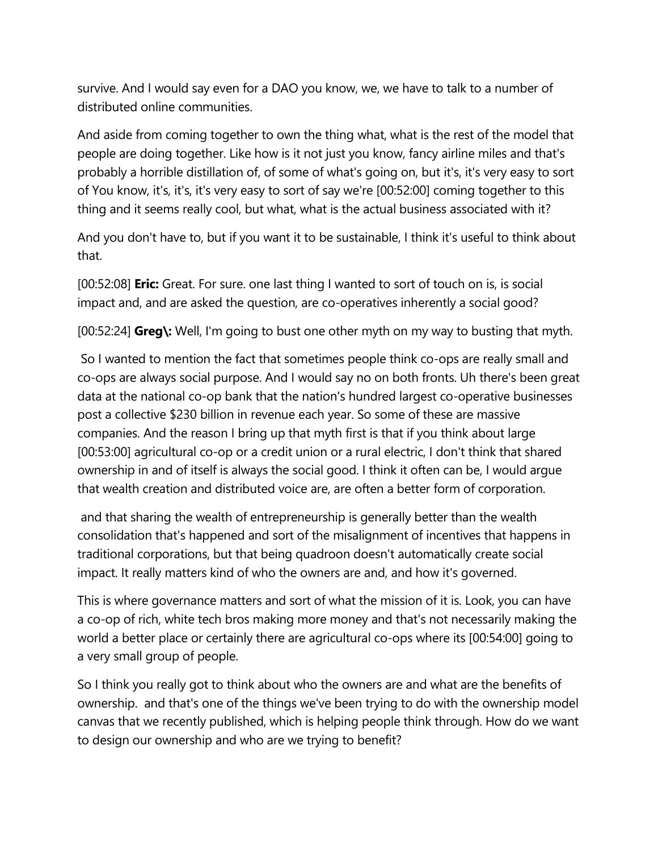survive. And I would say even for a DAO you know, we, we have to talk to a number of distributed online communities.

And aside from coming together to own the thing what, what is the rest of the model that people are doing together. Like how is it not just you know, fancy airline miles and that's probably a horrible distillation of, of some of what's going on, but it's, it's very easy to sort of You know, it's, it's, it's very easy to sort of say we're [00:52:00] coming together to this thing and it seems really cool, but what, what is the actual business associated with it?

And you don't have to, but if you want it to be sustainable, I think it's useful to think about that.

[00:52:08] **Eric:** Great. For sure. one last thing I wanted to sort of touch on is, is social impact and, and are asked the question, are co-operatives inherently a social good?

[00:52:24] **Greg\:** Well, I'm going to bust one other myth on my way to busting that myth.

So I wanted to mention the fact that sometimes people think co-ops are really small and co-ops are always social purpose. And I would say no on both fronts. Uh there's been great data at the national co-op bank that the nation's hundred largest co-operative businesses post a collective \$230 billion in revenue each year. So some of these are massive companies. And the reason I bring up that myth first is that if you think about large [00:53:00] agricultural co-op or a credit union or a rural electric, I don't think that shared ownership in and of itself is always the social good. I think it often can be, I would argue that wealth creation and distributed voice are, are often a better form of corporation.

and that sharing the wealth of entrepreneurship is generally better than the wealth consolidation that's happened and sort of the misalignment of incentives that happens in traditional corporations, but that being quadroon doesn't automatically create social impact. It really matters kind of who the owners are and, and how it's governed.

This is where governance matters and sort of what the mission of it is. Look, you can have a co-op of rich, white tech bros making more money and that's not necessarily making the world a better place or certainly there are agricultural co-ops where its [00:54:00] going to a very small group of people.

So I think you really got to think about who the owners are and what are the benefits of ownership. and that's one of the things we've been trying to do with the ownership model canvas that we recently published, which is helping people think through. How do we want to design our ownership and who are we trying to benefit?